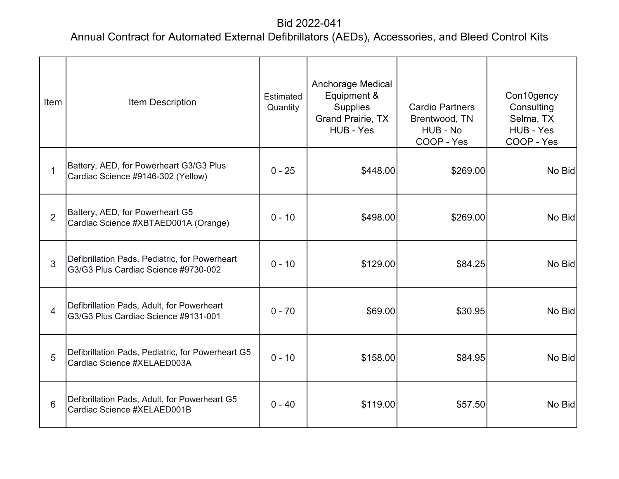| Item           | <b>Item Description</b>                                                                | <b>Estimated</b><br>Quantity | <b>Anchorage Medical</b><br>Equipment &<br><b>Supplies</b><br><b>Grand Prairie, TX</b><br>HUB - Yes | <b>Cardio Partners</b><br>Brentwood, TN<br>HUB - No<br>COOP - Yes | Con10gency<br>Consulting<br>Selma, TX<br>HUB - Yes<br>COOP - Yes |
|----------------|----------------------------------------------------------------------------------------|------------------------------|-----------------------------------------------------------------------------------------------------|-------------------------------------------------------------------|------------------------------------------------------------------|
|                | Battery, AED, for Powerheart G3/G3 Plus<br>Cardiac Science #9146-302 (Yellow)          | $0 - 25$                     | \$448.00                                                                                            | \$269.00                                                          | No Bid                                                           |
| $\overline{2}$ | Battery, AED, for Powerheart G5<br>Cardiac Science #XBTAED001A (Orange)                | $0 - 10$                     | \$498.00                                                                                            | \$269.00                                                          | No Bid                                                           |
| 3              | Defibrillation Pads, Pediatric, for Powerheart<br>G3/G3 Plus Cardiac Science #9730-002 | $0 - 10$                     | \$129.00                                                                                            | \$84.25                                                           | No Bid                                                           |
| $\overline{4}$ | Defibrillation Pads, Adult, for Powerheart<br>G3/G3 Plus Cardiac Science #9131-001     | $0 - 70$                     | \$69.00                                                                                             | \$30.95                                                           | No Bid                                                           |
| 5              | Defibrillation Pads, Pediatric, for Powerheart G5<br>Cardiac Science #XELAED003A       | $0 - 10$                     | \$158.00                                                                                            | \$84.95                                                           | No Bid                                                           |
| 6              | Defibrillation Pads, Adult, for Powerheart G5<br>Cardiac Science #XELAED001B           | $0 - 40$                     | \$119.00                                                                                            | \$57.50                                                           | No Bid                                                           |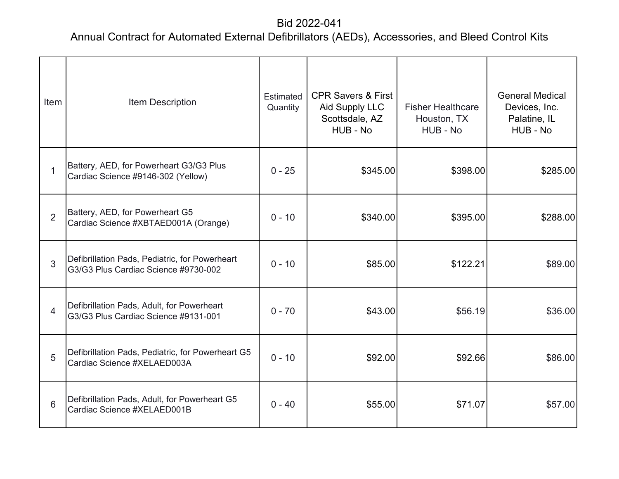| Item           | Item Description                                                                       | Estimated<br>Quantity | <b>CPR Savers &amp; First</b><br>Aid Supply LLC<br>Scottsdale, AZ<br>HUB - No | <b>Fisher Healthcare</b><br>Houston, TX<br>HUB - No | <b>General Medical</b><br>Devices, Inc.<br>Palatine, IL<br>HUB - No |
|----------------|----------------------------------------------------------------------------------------|-----------------------|-------------------------------------------------------------------------------|-----------------------------------------------------|---------------------------------------------------------------------|
| $\mathbf{1}$   | Battery, AED, for Powerheart G3/G3 Plus<br>Cardiac Science #9146-302 (Yellow)          | $0 - 25$              | \$345.00                                                                      | \$398.00                                            | \$285.00                                                            |
| $\overline{2}$ | Battery, AED, for Powerheart G5<br>Cardiac Science #XBTAED001A (Orange)                | $0 - 10$              | \$340.00                                                                      | \$395.00                                            | \$288.00                                                            |
| 3              | Defibrillation Pads, Pediatric, for Powerheart<br>G3/G3 Plus Cardiac Science #9730-002 | $0 - 10$              | \$85.00                                                                       | \$122.21                                            | \$89.00                                                             |
| $\overline{4}$ | Defibrillation Pads, Adult, for Powerheart<br>G3/G3 Plus Cardiac Science #9131-001     | $0 - 70$              | \$43.00                                                                       | \$56.19                                             | \$36.00                                                             |
| 5              | Defibrillation Pads, Pediatric, for Powerheart G5<br>Cardiac Science #XELAED003A       | $0 - 10$              | \$92.00                                                                       | \$92.66                                             | \$86.00                                                             |
| 6              | Defibrillation Pads, Adult, for Powerheart G5<br>Cardiac Science #XELAED001B           | $0 - 40$              | \$55.00                                                                       | \$71.07                                             | \$57.00                                                             |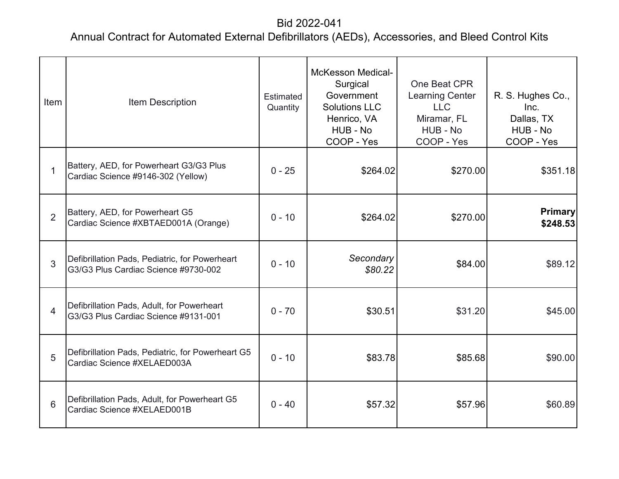| Item           | <b>Item Description</b>                                                                | Estimated<br>Quantity | <b>McKesson Medical-</b><br>Surgical<br>Government<br><b>Solutions LLC</b><br>Henrico, VA<br>HUB - No<br>COOP - Yes | One Beat CPR<br><b>Learning Center</b><br><b>LLC</b><br>Miramar, FL<br>HUB - No<br>COOP - Yes | R. S. Hughes Co.,<br>Inc.<br>Dallas, TX<br>HUB - No<br>COOP - Yes |
|----------------|----------------------------------------------------------------------------------------|-----------------------|---------------------------------------------------------------------------------------------------------------------|-----------------------------------------------------------------------------------------------|-------------------------------------------------------------------|
| $\mathbf{1}$   | Battery, AED, for Powerheart G3/G3 Plus<br>Cardiac Science #9146-302 (Yellow)          | $0 - 25$              | \$264.02                                                                                                            | \$270.00                                                                                      | \$351.18                                                          |
| $\overline{2}$ | Battery, AED, for Powerheart G5<br>Cardiac Science #XBTAED001A (Orange)                | $0 - 10$              | \$264.02                                                                                                            | \$270.00                                                                                      | <b>Primary</b><br>\$248.53                                        |
| 3              | Defibrillation Pads, Pediatric, for Powerheart<br>G3/G3 Plus Cardiac Science #9730-002 | $0 - 10$              | Secondary<br>\$80.22                                                                                                | \$84.00                                                                                       | \$89.12                                                           |
| $\overline{4}$ | Defibrillation Pads, Adult, for Powerheart<br>G3/G3 Plus Cardiac Science #9131-001     | $0 - 70$              | \$30.51                                                                                                             | \$31.20                                                                                       | \$45.00                                                           |
| 5              | Defibrillation Pads, Pediatric, for Powerheart G5<br>Cardiac Science #XELAED003A       | $0 - 10$              | \$83.78                                                                                                             | \$85.68                                                                                       | \$90.00                                                           |
| 6              | Defibrillation Pads, Adult, for Powerheart G5<br>Cardiac Science #XELAED001B           | $0 - 40$              | \$57.32                                                                                                             | \$57.96                                                                                       | \$60.89                                                           |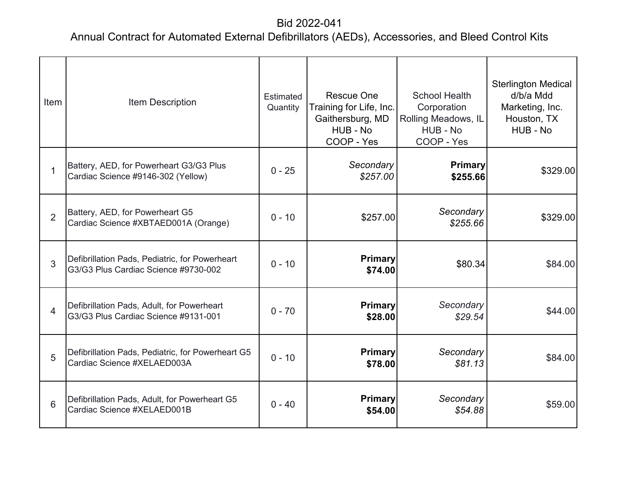| Item           | <b>Item Description</b>                                                                | Estimated<br>Quantity | <b>Rescue One</b><br>Training for Life, Inc.<br>Gaithersburg, MD<br>HUB - No<br>COOP - Yes | <b>School Health</b><br>Corporation<br>Rolling Meadows, IL<br>HUB - No<br>COOP - Yes | <b>Sterlington Medical</b><br>d/b/a Mdd<br>Marketing, Inc.<br>Houston, TX<br>HUB - No |
|----------------|----------------------------------------------------------------------------------------|-----------------------|--------------------------------------------------------------------------------------------|--------------------------------------------------------------------------------------|---------------------------------------------------------------------------------------|
| $\mathbf{1}$   | Battery, AED, for Powerheart G3/G3 Plus<br>Cardiac Science #9146-302 (Yellow)          | $0 - 25$              | Secondary<br>\$257.00                                                                      | <b>Primary</b><br>\$255.66                                                           | \$329.00                                                                              |
| $\overline{2}$ | Battery, AED, for Powerheart G5<br>Cardiac Science #XBTAED001A (Orange)                | $0 - 10$              | \$257.00                                                                                   | Secondary<br>\$255.66                                                                | \$329.00                                                                              |
| 3              | Defibrillation Pads, Pediatric, for Powerheart<br>G3/G3 Plus Cardiac Science #9730-002 | $0 - 10$              | <b>Primary</b><br>\$74.00                                                                  | \$80.34                                                                              | \$84.00                                                                               |
| $\overline{4}$ | Defibrillation Pads, Adult, for Powerheart<br>G3/G3 Plus Cardiac Science #9131-001     | $0 - 70$              | <b>Primary</b><br>\$28.00                                                                  | Secondary<br>\$29.54                                                                 | \$44.00                                                                               |
| 5              | Defibrillation Pads, Pediatric, for Powerheart G5<br>Cardiac Science #XELAED003A       | $0 - 10$              | <b>Primary</b><br>\$78.00                                                                  | Secondary<br>\$81.13                                                                 | \$84.00                                                                               |
| 6              | Defibrillation Pads, Adult, for Powerheart G5<br>Cardiac Science #XELAED001B           | $0 - 40$              | <b>Primary</b><br>\$54.00                                                                  | Secondary<br>\$54.88                                                                 | \$59.00                                                                               |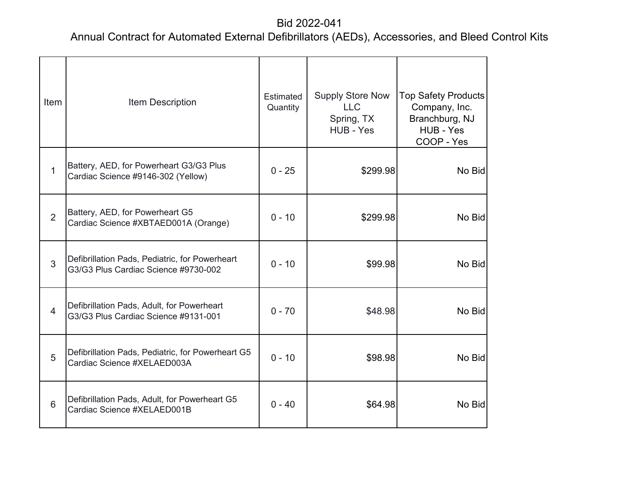| Item           | Item Description                                                                       | Estimated<br>Quantity | <b>Supply Store Now</b><br><b>LLC</b><br>Spring, TX<br>HUB - Yes | <b>Top Safety Products</b><br>Company, Inc.<br>Branchburg, NJ<br>HUB - Yes<br>COOP - Yes |
|----------------|----------------------------------------------------------------------------------------|-----------------------|------------------------------------------------------------------|------------------------------------------------------------------------------------------|
| $\mathbf{1}$   | Battery, AED, for Powerheart G3/G3 Plus<br>Cardiac Science #9146-302 (Yellow)          | $0 - 25$              | \$299.98                                                         | No Bid                                                                                   |
| $\overline{2}$ | Battery, AED, for Powerheart G5<br>Cardiac Science #XBTAED001A (Orange)                | $0 - 10$              | \$299.98                                                         | No Bid                                                                                   |
| $\overline{3}$ | Defibrillation Pads, Pediatric, for Powerheart<br>G3/G3 Plus Cardiac Science #9730-002 | $0 - 10$              | \$99.98                                                          | No Bid                                                                                   |
| $\overline{4}$ | Defibrillation Pads, Adult, for Powerheart<br>G3/G3 Plus Cardiac Science #9131-001     | $0 - 70$              | \$48.98                                                          | No Bid                                                                                   |
| 5              | Defibrillation Pads, Pediatric, for Powerheart G5<br>Cardiac Science #XELAED003A       | $0 - 10$              | \$98.98                                                          | No Bid                                                                                   |
| 6              | Defibrillation Pads, Adult, for Powerheart G5<br>Cardiac Science #XELAED001B           | $0 - 40$              | \$64.98                                                          | No Bid                                                                                   |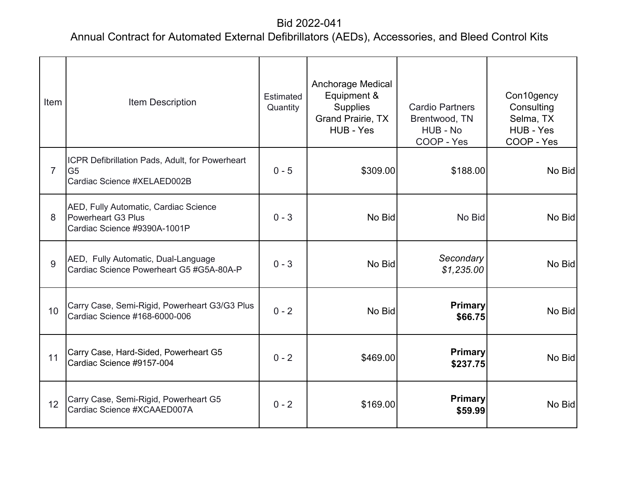| Item           | <b>Item Description</b>                                                                          | Estimated<br>Quantity | <b>Anchorage Medical</b><br>Equipment &<br><b>Supplies</b><br><b>Grand Prairie, TX</b><br>HUB - Yes | <b>Cardio Partners</b><br>Brentwood, TN<br>HUB - No<br>COOP - Yes | Con10gency<br>Consulting<br>Selma, TX<br>HUB - Yes<br>COOP - Yes |
|----------------|--------------------------------------------------------------------------------------------------|-----------------------|-----------------------------------------------------------------------------------------------------|-------------------------------------------------------------------|------------------------------------------------------------------|
| $\overline{7}$ | ICPR Defibrillation Pads, Adult, for Powerheart<br>G <sub>5</sub><br>Cardiac Science #XELAED002B | $0 - 5$               | \$309.00                                                                                            | \$188.00                                                          | No Bid                                                           |
| 8              | AED, Fully Automatic, Cardiac Science<br>Powerheart G3 Plus<br>Cardiac Science #9390A-1001P      | $0 - 3$               | No Bid                                                                                              | No Bid                                                            | No Bid                                                           |
| 9              | AED, Fully Automatic, Dual-Language<br>Cardiac Science Powerheart G5 #G5A-80A-P                  | $0 - 3$               | No Bid                                                                                              | Secondary<br>\$1,235.00                                           | No Bid                                                           |
| 10             | Carry Case, Semi-Rigid, Powerheart G3/G3 Plus<br>Cardiac Science #168-6000-006                   | $0 - 2$               | No Bid                                                                                              | <b>Primary</b><br>\$66.75                                         | No Bid                                                           |
| 11             | Carry Case, Hard-Sided, Powerheart G5<br>Cardiac Science #9157-004                               | $0 - 2$               | \$469.00                                                                                            | <b>Primary</b><br>\$237.75                                        | No Bid                                                           |
| 12             | Carry Case, Semi-Rigid, Powerheart G5<br>Cardiac Science #XCAAED007A                             | $0 - 2$               | \$169.00                                                                                            | <b>Primary</b><br>\$59.99                                         | No Bid                                                           |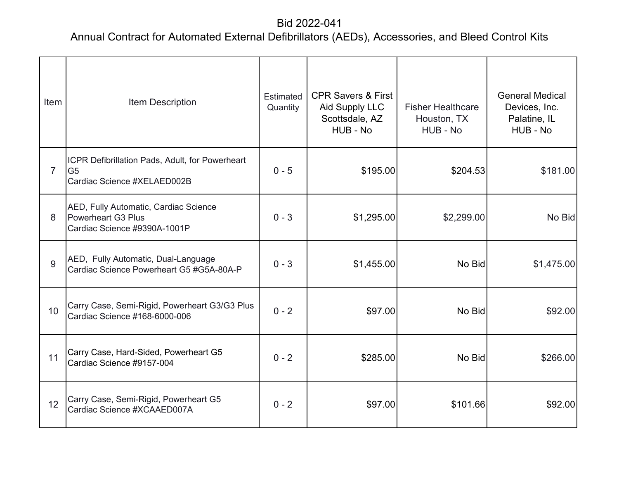| Item           | Item Description                                                                                 | Estimated<br>Quantity | <b>CPR Savers &amp; First</b><br><b>Aid Supply LLC</b><br>Scottsdale, AZ<br>HUB - No | <b>Fisher Healthcare</b><br>Houston, TX<br>HUB - No | <b>General Medical</b><br>Devices, Inc.<br>Palatine, IL<br>HUB - No |
|----------------|--------------------------------------------------------------------------------------------------|-----------------------|--------------------------------------------------------------------------------------|-----------------------------------------------------|---------------------------------------------------------------------|
| $\overline{7}$ | ICPR Defibrillation Pads, Adult, for Powerheart<br>G <sub>5</sub><br>Cardiac Science #XELAED002B | $0 - 5$               | \$195.00                                                                             | \$204.53                                            | \$181.00                                                            |
| 8              | AED, Fully Automatic, Cardiac Science<br>Powerheart G3 Plus<br>Cardiac Science #9390A-1001P      | $0 - 3$               | \$1,295.00                                                                           | \$2,299.00                                          | No Bid                                                              |
| 9              | AED, Fully Automatic, Dual-Language<br>Cardiac Science Powerheart G5 #G5A-80A-P                  | $0 - 3$               | \$1,455.00                                                                           | No Bid                                              | \$1,475.00                                                          |
| 10             | Carry Case, Semi-Rigid, Powerheart G3/G3 Plus<br>Cardiac Science #168-6000-006                   | $0 - 2$               | \$97.00                                                                              | No Bid                                              | \$92.00                                                             |
| 11             | Carry Case, Hard-Sided, Powerheart G5<br>Cardiac Science #9157-004                               | $0 - 2$               | \$285.00                                                                             | No Bid                                              | \$266.00                                                            |
| 12             | Carry Case, Semi-Rigid, Powerheart G5<br>Cardiac Science #XCAAED007A                             | $0 - 2$               | \$97.00                                                                              | \$101.66                                            | \$92.00                                                             |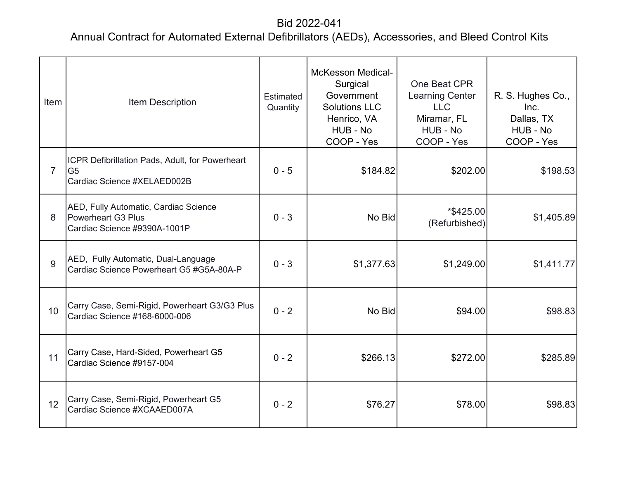| Item            | <b>Item Description</b>                                                                          | <b>Estimated</b><br>Quantity | <b>McKesson Medical-</b><br>Surgical<br>Government<br><b>Solutions LLC</b><br>Henrico, VA<br>HUB - No<br>COOP - Yes | One Beat CPR<br><b>Learning Center</b><br><b>LLC</b><br>Miramar, FL<br>HUB - No<br>COOP - Yes | R. S. Hughes Co.,<br>Inc.<br>Dallas, TX<br>HUB - No<br>COOP - Yes |
|-----------------|--------------------------------------------------------------------------------------------------|------------------------------|---------------------------------------------------------------------------------------------------------------------|-----------------------------------------------------------------------------------------------|-------------------------------------------------------------------|
| $\overline{7}$  | ICPR Defibrillation Pads, Adult, for Powerheart<br>G <sub>5</sub><br>Cardiac Science #XELAED002B | $0 - 5$                      | \$184.82                                                                                                            | \$202.00                                                                                      | \$198.53                                                          |
| 8               | AED, Fully Automatic, Cardiac Science<br>Powerheart G3 Plus<br>Cardiac Science #9390A-1001P      | $0 - 3$                      | No Bid                                                                                                              | *\$425.00<br>(Refurbished)                                                                    | \$1,405.89                                                        |
| 9               | AED, Fully Automatic, Dual-Language<br>Cardiac Science Powerheart G5 #G5A-80A-P                  | $0 - 3$                      | \$1,377.63                                                                                                          | \$1,249.00                                                                                    | \$1,411.77                                                        |
| 10 <sup>°</sup> | Carry Case, Semi-Rigid, Powerheart G3/G3 Plus<br>Cardiac Science #168-6000-006                   | $0 - 2$                      | No Bid                                                                                                              | \$94.00                                                                                       | \$98.83                                                           |
| 11              | Carry Case, Hard-Sided, Powerheart G5<br>Cardiac Science #9157-004                               | $0 - 2$                      | \$266.13                                                                                                            | \$272.00                                                                                      | \$285.89                                                          |
| 12              | Carry Case, Semi-Rigid, Powerheart G5<br>Cardiac Science #XCAAED007A                             | $0 - 2$                      | \$76.27                                                                                                             | \$78.00                                                                                       | \$98.83                                                           |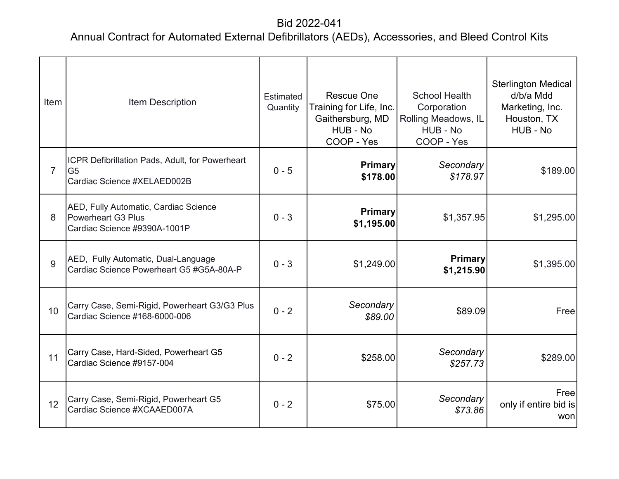| Item           | Item Description                                                                                   | <b>Estimated</b><br>Quantity | <b>Rescue One</b><br>Training for Life, Inc.<br>Gaithersburg, MD<br>HUB - No<br>COOP - Yes | <b>School Health</b><br>Corporation<br>Rolling Meadows, IL<br>HUB - No<br>COOP - Yes | <b>Sterlington Medical</b><br>d/b/a Mdd<br>Marketing, Inc.<br>Houston, TX<br>HUB - No |
|----------------|----------------------------------------------------------------------------------------------------|------------------------------|--------------------------------------------------------------------------------------------|--------------------------------------------------------------------------------------|---------------------------------------------------------------------------------------|
| $\overline{7}$ | ICPR Defibrillation Pads, Adult, for Powerheart<br>G <sub>5</sub><br>Cardiac Science #XELAED002B   | $0 - 5$                      | <b>Primary</b><br>\$178.00                                                                 | Secondary<br>\$178.97                                                                | \$189.00                                                                              |
| 8              | AED, Fully Automatic, Cardiac Science<br><b>Powerheart G3 Plus</b><br>Cardiac Science #9390A-1001P | $0 - 3$                      | Primary<br>\$1,195.00                                                                      | \$1,357.95                                                                           | \$1,295.00                                                                            |
| 9              | AED, Fully Automatic, Dual-Language<br>Cardiac Science Powerheart G5 #G5A-80A-P                    | $0 - 3$                      | \$1,249.00                                                                                 | <b>Primary</b><br>\$1,215.90                                                         | \$1,395.00                                                                            |
| 10             | Carry Case, Semi-Rigid, Powerheart G3/G3 Plus<br>Cardiac Science #168-6000-006                     | $0 - 2$                      | Secondary<br>\$89.00                                                                       | \$89.09                                                                              | Free                                                                                  |
| 11             | Carry Case, Hard-Sided, Powerheart G5<br>Cardiac Science #9157-004                                 | $0 - 2$                      | \$258.00                                                                                   | Secondary<br>\$257.73                                                                | \$289.00                                                                              |
| 12             | Carry Case, Semi-Rigid, Powerheart G5<br>Cardiac Science #XCAAED007A                               | $0 - 2$                      | \$75.00                                                                                    | Secondary<br>\$73.86                                                                 | Free<br>only if entire bid is<br>won                                                  |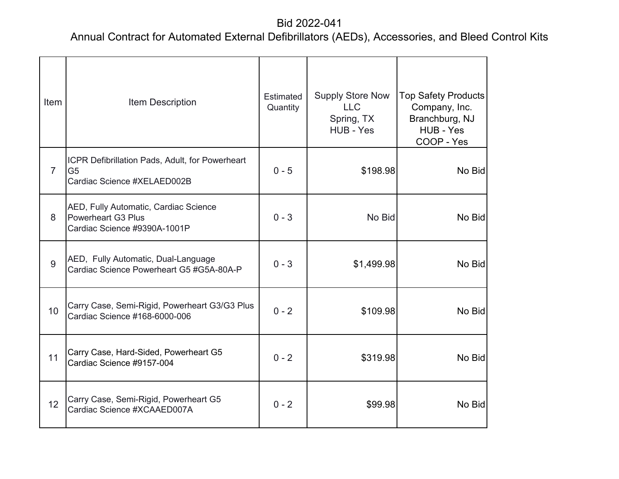| Item           | Item Description                                                                                   | <b>Estimated</b><br>Quantity | <b>Supply Store Now</b><br><b>LLC</b><br>Spring, TX<br>HUB - Yes | <b>Top Safety Products</b><br>Company, Inc.<br>Branchburg, NJ<br>HUB - Yes<br>COOP - Yes |
|----------------|----------------------------------------------------------------------------------------------------|------------------------------|------------------------------------------------------------------|------------------------------------------------------------------------------------------|
| $\overline{7}$ | ICPR Defibrillation Pads, Adult, for Powerheart<br>G <sub>5</sub><br>Cardiac Science #XELAED002B   | $0 - 5$                      | \$198.98                                                         | No Bid                                                                                   |
| 8              | AED, Fully Automatic, Cardiac Science<br><b>Powerheart G3 Plus</b><br>Cardiac Science #9390A-1001P | $0 - 3$                      | No Bid                                                           | No Bid                                                                                   |
| 9              | AED, Fully Automatic, Dual-Language<br>Cardiac Science Powerheart G5 #G5A-80A-P                    | $0 - 3$                      | \$1,499.98                                                       | No Bid                                                                                   |
| 10             | Carry Case, Semi-Rigid, Powerheart G3/G3 Plus<br>Cardiac Science #168-6000-006                     | $0 - 2$                      | \$109.98                                                         | No Bid                                                                                   |
| 11             | Carry Case, Hard-Sided, Powerheart G5<br>Cardiac Science #9157-004                                 | $0 - 2$                      | \$319.98                                                         | No Bid                                                                                   |
| 12             | Carry Case, Semi-Rigid, Powerheart G5<br>Cardiac Science #XCAAED007A                               | $0 - 2$                      | \$99.98                                                          | No Bid                                                                                   |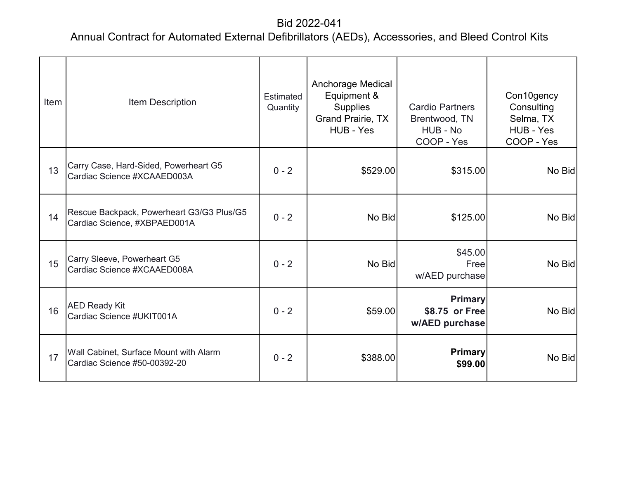| Item | Item Description                                                          | Estimated<br>Quantity | <b>Anchorage Medical</b><br>Equipment &<br><b>Supplies</b><br>Grand Prairie, TX<br>HUB - Yes | <b>Cardio Partners</b><br>Brentwood, TN<br>HUB - No<br>COOP - Yes | Con10gency<br>Consulting<br>Selma, TX<br>HUB - Yes<br>COOP - Yes |
|------|---------------------------------------------------------------------------|-----------------------|----------------------------------------------------------------------------------------------|-------------------------------------------------------------------|------------------------------------------------------------------|
| 13   | Carry Case, Hard-Sided, Powerheart G5<br>Cardiac Science #XCAAED003A      | $0 - 2$               | \$529.00                                                                                     | \$315.00                                                          | No Bid                                                           |
| 14   | Rescue Backpack, Powerheart G3/G3 Plus/G5<br>Cardiac Science, #XBPAED001A | $0 - 2$               | No Bid                                                                                       | \$125.00                                                          | No Bid                                                           |
| 15   | Carry Sleeve, Powerheart G5<br>Cardiac Science #XCAAED008A                | $0 - 2$               | No Bid                                                                                       | \$45.00<br>Free<br>w/AED purchase                                 | No Bid                                                           |
| 16   | <b>AED Ready Kit</b><br>Cardiac Science #UKIT001A                         | $0 - 2$               | \$59.00                                                                                      | <b>Primary</b><br>\$8.75 or Free<br>w/AED purchase                | No Bid                                                           |
| 17   | Wall Cabinet, Surface Mount with Alarm<br>Cardiac Science #50-00392-20    | $0 - 2$               | \$388.00                                                                                     | <b>Primary</b><br>\$99.00                                         | No Bid                                                           |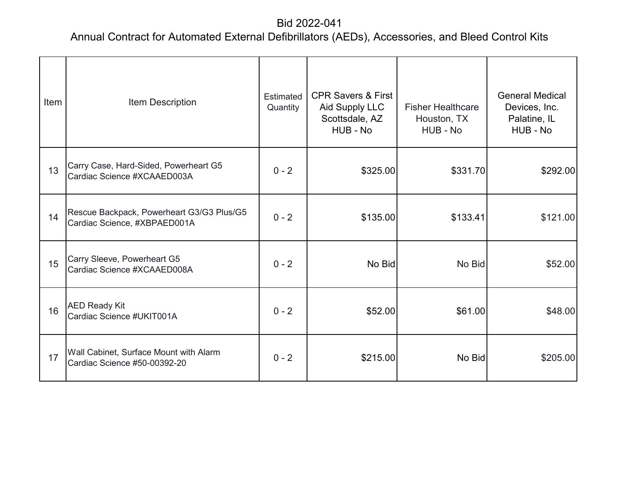| Item | Item Description                                                          | Estimated<br>Quantity | <b>CPR Savers &amp; First</b><br>Aid Supply LLC<br>Scottsdale, AZ<br>HUB - No | <b>Fisher Healthcare</b><br>Houston, TX<br>HUB - No | <b>General Medical</b><br>Devices, Inc.<br>Palatine, IL<br>HUB - No |
|------|---------------------------------------------------------------------------|-----------------------|-------------------------------------------------------------------------------|-----------------------------------------------------|---------------------------------------------------------------------|
| 13   | Carry Case, Hard-Sided, Powerheart G5<br>Cardiac Science #XCAAED003A      | $0 - 2$               | \$325.00                                                                      | \$331.70                                            | \$292.00                                                            |
| 14   | Rescue Backpack, Powerheart G3/G3 Plus/G5<br>Cardiac Science, #XBPAED001A | $0 - 2$               | \$135.00                                                                      | \$133.41                                            | \$121.00                                                            |
| 15   | Carry Sleeve, Powerheart G5<br>Cardiac Science #XCAAED008A                | $0 - 2$               | No Bid                                                                        | No Bid                                              | \$52.00                                                             |
| 16   | <b>AED Ready Kit</b><br>Cardiac Science #UKIT001A                         | $0 - 2$               | \$52.00                                                                       | \$61.00                                             | \$48.00                                                             |
| 17   | Wall Cabinet, Surface Mount with Alarm<br>Cardiac Science #50-00392-20    | $0 - 2$               | \$215.00                                                                      | No Bid                                              | \$205.00                                                            |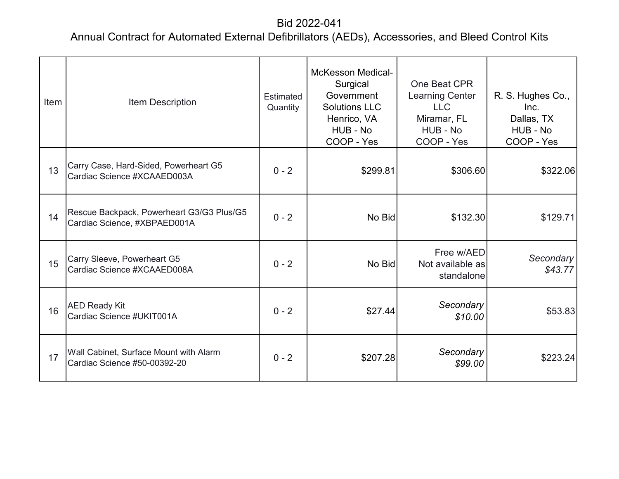| Item | Item Description                                                          | Estimated<br>Quantity | <b>McKesson Medical-</b><br>Surgical<br>Government<br><b>Solutions LLC</b><br>Henrico, VA<br>HUB - No<br>COOP - Yes | One Beat CPR<br><b>Learning Center</b><br><b>LLC</b><br>Miramar, FL<br>HUB - No<br>COOP - Yes | R. S. Hughes Co.,<br>Inc.<br>Dallas, TX<br>HUB - No<br>COOP - Yes |
|------|---------------------------------------------------------------------------|-----------------------|---------------------------------------------------------------------------------------------------------------------|-----------------------------------------------------------------------------------------------|-------------------------------------------------------------------|
| 13   | Carry Case, Hard-Sided, Powerheart G5<br>Cardiac Science #XCAAED003A      | $0 - 2$               | \$299.81                                                                                                            | \$306.60                                                                                      | \$322.06                                                          |
| 14   | Rescue Backpack, Powerheart G3/G3 Plus/G5<br>Cardiac Science, #XBPAED001A | $0 - 2$               | No Bid                                                                                                              | \$132.30                                                                                      | \$129.71                                                          |
| 15   | Carry Sleeve, Powerheart G5<br>Cardiac Science #XCAAED008A                | $0 - 2$               | No Bid                                                                                                              | Free w/AED<br>Not available as<br>standalone                                                  | Secondary<br>\$43.77                                              |
| 16   | <b>AED Ready Kit</b><br>Cardiac Science #UKIT001A                         | $0 - 2$               | \$27.44                                                                                                             | Secondary<br>\$10.00                                                                          | \$53.83                                                           |
| 17   | Wall Cabinet, Surface Mount with Alarm<br>Cardiac Science #50-00392-20    | $0 - 2$               | \$207.28                                                                                                            | Secondary<br>\$99.00                                                                          | \$223.24                                                          |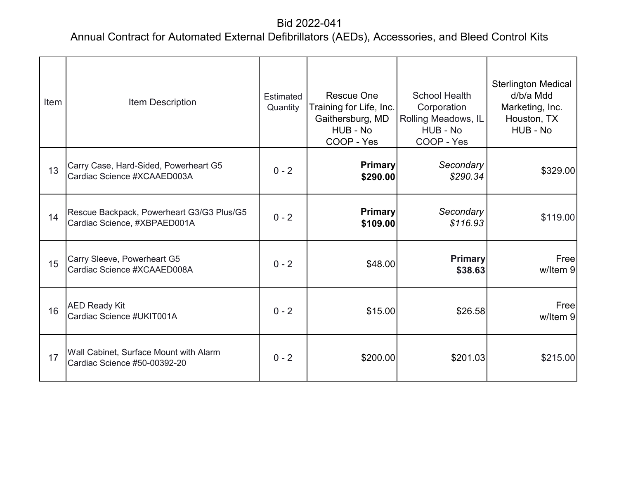| Item | Item Description                                                          | <b>Estimated</b><br>Quantity | <b>Rescue One</b><br>Training for Life, Inc.<br>Gaithersburg, MD<br>HUB - No<br>COOP - Yes | <b>School Health</b><br>Corporation<br><b>Rolling Meadows, IL</b><br>HUB - No<br>COOP - Yes | <b>Sterlington Medical</b><br>d/b/a Mdd<br>Marketing, Inc.<br>Houston, TX<br>HUB - No |
|------|---------------------------------------------------------------------------|------------------------------|--------------------------------------------------------------------------------------------|---------------------------------------------------------------------------------------------|---------------------------------------------------------------------------------------|
| 13   | Carry Case, Hard-Sided, Powerheart G5<br>Cardiac Science #XCAAED003A      | $0 - 2$                      | <b>Primary</b><br>\$290.00                                                                 | Secondary<br>\$290.34                                                                       | \$329.00                                                                              |
| 14   | Rescue Backpack, Powerheart G3/G3 Plus/G5<br>Cardiac Science, #XBPAED001A | $0 - 2$                      | <b>Primary</b><br>\$109.00                                                                 | Secondary<br>\$116.93                                                                       | \$119.00                                                                              |
| 15   | Carry Sleeve, Powerheart G5<br>Cardiac Science #XCAAED008A                | $0 - 2$                      | \$48.00                                                                                    | <b>Primary</b><br>\$38.63                                                                   | Free<br>w/Item 9                                                                      |
| 16   | <b>AED Ready Kit</b><br>Cardiac Science #UKIT001A                         | $0 - 2$                      | \$15.00                                                                                    | \$26.58                                                                                     | Freel<br>w/Item 9                                                                     |
| 17   | Wall Cabinet, Surface Mount with Alarm<br>Cardiac Science #50-00392-20    | $0 - 2$                      | \$200.00                                                                                   | \$201.03                                                                                    | \$215.00                                                                              |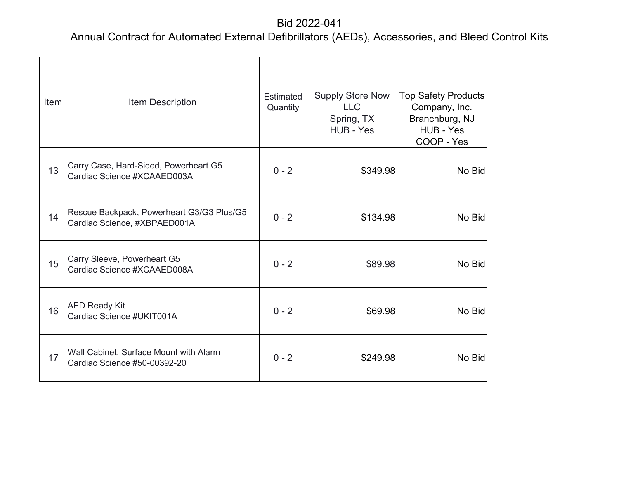| Item | Item Description                                                          | <b>Estimated</b><br>Quantity | <b>Supply Store Now</b><br><b>LLC</b><br>Spring, TX<br>HUB - Yes | <b>Top Safety Products</b><br>Company, Inc.<br>Branchburg, NJ<br>HUB - Yes<br>COOP - Yes |
|------|---------------------------------------------------------------------------|------------------------------|------------------------------------------------------------------|------------------------------------------------------------------------------------------|
| 13   | Carry Case, Hard-Sided, Powerheart G5<br>Cardiac Science #XCAAED003A      | $0 - 2$                      | \$349.98                                                         | No Bid                                                                                   |
| 14   | Rescue Backpack, Powerheart G3/G3 Plus/G5<br>Cardiac Science, #XBPAED001A | $0 - 2$                      | \$134.98                                                         | No Bid                                                                                   |
| 15   | Carry Sleeve, Powerheart G5<br>Cardiac Science #XCAAED008A                | $0 - 2$                      | \$89.98                                                          | No Bid                                                                                   |
| 16   | <b>AED Ready Kit</b><br>Cardiac Science #UKIT001A                         | $0 - 2$                      | \$69.98                                                          | No Bid                                                                                   |
| 17   | Wall Cabinet, Surface Mount with Alarm<br>Cardiac Science #50-00392-20    | $0 - 2$                      | \$249.98                                                         | No Bid                                                                                   |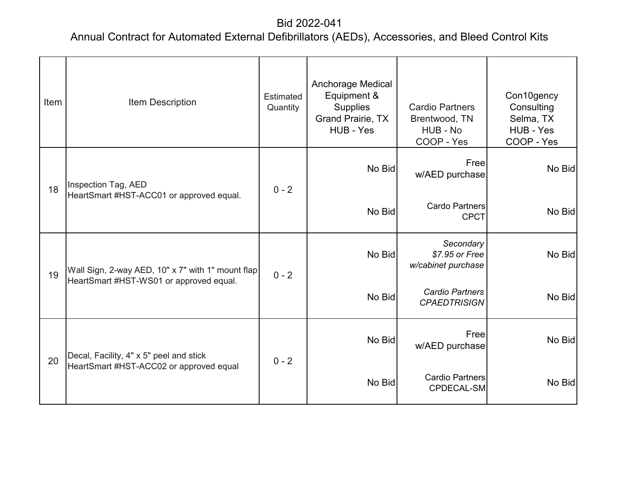| Item | Item Description                                                                             | Estimated<br>Quantity | Anchorage Medical<br>Equipment &<br><b>Supplies</b><br><b>Grand Prairie, TX</b><br>HUB - Yes | <b>Cardio Partners</b><br>Brentwood, TN<br>HUB - No<br>COOP - Yes | Con10gency<br>Consulting<br>Selma, TX<br>HUB - Yes<br>COOP - Yes |
|------|----------------------------------------------------------------------------------------------|-----------------------|----------------------------------------------------------------------------------------------|-------------------------------------------------------------------|------------------------------------------------------------------|
| 18   | Inspection Tag, AED<br>HeartSmart #HST-ACC01 or approved equal.                              | $0 - 2$               | No Bid                                                                                       | Free<br>w/AED purchase                                            | No Bid                                                           |
|      |                                                                                              |                       | No Bid                                                                                       | Cardo Partners<br><b>CPCT</b>                                     | No Bid                                                           |
| 19   | Wall Sign, 2-way AED, 10" x 7" with 1" mount flap<br>HeartSmart #HST-WS01 or approved equal. | $0 - 2$               | No Bid                                                                                       | Secondary<br>\$7.95 or Free<br>w/cabinet purchase                 | No Bid                                                           |
|      |                                                                                              |                       | No Bid                                                                                       | <b>Cardio Partners</b><br><b>CPAEDTRISIGN</b>                     | No Bid                                                           |
| 20   | Decal, Facility, 4" x 5" peel and stick<br>HeartSmart #HST-ACC02 or approved equal           | $0 - 2$               | No Bid                                                                                       | Freel<br>w/AED purchase                                           | No Bid                                                           |
|      |                                                                                              |                       | No Bid                                                                                       | Cardio Partners<br>CPDECAL-SM                                     | No Bid                                                           |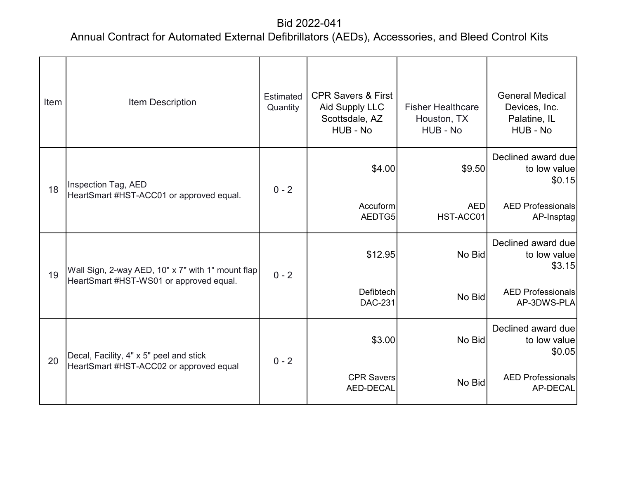| Item | Item Description                                  | Estimated<br>Quantity | <b>CPR Savers &amp; First</b><br>Aid Supply LLC<br>Scottsdale, AZ<br>HUB - No | <b>Fisher Healthcare</b><br>Houston, TX<br>HUB - No | <b>General Medical</b><br>Devices, Inc.<br>Palatine, IL<br>HUB - No |
|------|---------------------------------------------------|-----------------------|-------------------------------------------------------------------------------|-----------------------------------------------------|---------------------------------------------------------------------|
| 18   | Inspection Tag, AED                               | $0 - 2$               | \$4.00                                                                        | \$9.50                                              | Declined award due<br>to low value<br>\$0.15                        |
|      | HeartSmart #HST-ACC01 or approved equal.          |                       | Accuform<br>AEDTG5                                                            | <b>AED</b><br>HST-ACC01                             | <b>AED Professionals</b><br>AP-Insptag                              |
| 19   | Wall Sign, 2-way AED, 10" x 7" with 1" mount flap | $0 - 2$               | \$12.95                                                                       | No Bid                                              | Declined award due<br>to low value<br>\$3.15                        |
|      | HeartSmart #HST-WS01 or approved equal.           |                       | <b>Defibtech</b><br><b>DAC-231</b>                                            | No Bid                                              | <b>AED Professionals</b><br>AP-3DWS-PLA                             |
| 20   | Decal, Facility, 4" x 5" peel and stick           | $0 - 2$               | \$3.00                                                                        | No Bid                                              | Declined award due<br>to low value<br>\$0.05                        |
|      | HeartSmart #HST-ACC02 or approved equal           |                       | <b>CPR Savers</b><br>AED-DECAL                                                | No Bid                                              | <b>AED Professionals</b><br>AP-DECAL                                |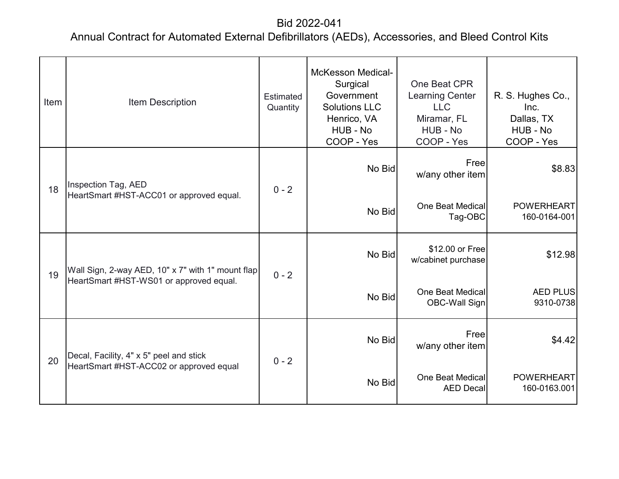| Item | Item Description                                                | Estimated<br>Quantity | <b>McKesson Medical-</b><br>Surgical<br>Government<br><b>Solutions LLC</b><br>Henrico, VA<br>HUB - No<br>COOP - Yes | One Beat CPR<br><b>Learning Center</b><br><b>LLC</b><br>Miramar, FL<br>HUB - No<br>COOP - Yes | R. S. Hughes Co.,<br>Inc.<br>Dallas, TX<br>HUB - No<br>COOP - Yes |
|------|-----------------------------------------------------------------|-----------------------|---------------------------------------------------------------------------------------------------------------------|-----------------------------------------------------------------------------------------------|-------------------------------------------------------------------|
| 18   | Inspection Tag, AED<br>HeartSmart #HST-ACC01 or approved equal. | $0 - 2$               | No Bid                                                                                                              | Free<br>w/any other item                                                                      | \$8.83                                                            |
|      |                                                                 |                       | No Bid                                                                                                              | <b>One Beat Medical</b><br>Tag-OBC                                                            | <b>POWERHEART</b><br>160-0164-001                                 |
| 19   | Wall Sign, 2-way AED, 10" x 7" with 1" mount flap               | $0 - 2$               | No Bid                                                                                                              | \$12.00 or Free<br>w/cabinet purchase                                                         | \$12.98                                                           |
|      | HeartSmart #HST-WS01 or approved equal.                         |                       | No Bid                                                                                                              | One Beat Medical<br>OBC-Wall Sign                                                             | <b>AED PLUS</b><br>9310-0738                                      |
| 20   | Decal, Facility, 4" x 5" peel and stick                         | $0 - 2$               | No Bid                                                                                                              | Free<br>w/any other item                                                                      | \$4.42                                                            |
|      | HeartSmart #HST-ACC02 or approved equal                         |                       | No Bid                                                                                                              | One Beat Medical<br><b>AED Decal</b>                                                          | <b>POWERHEART</b><br>160-0163.001                                 |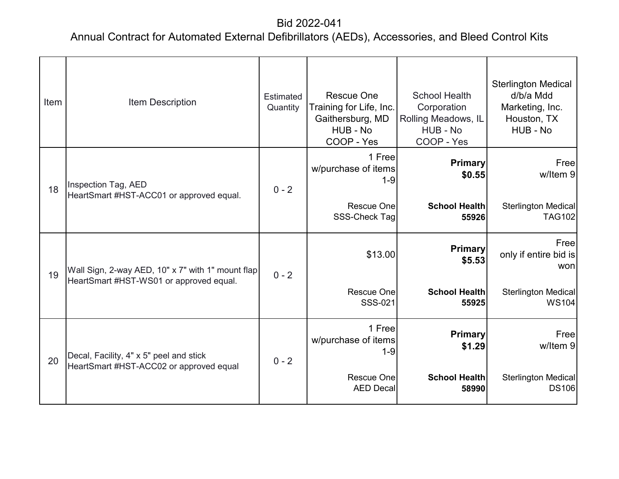| Item | <b>Item Description</b>                                                                      | <b>Estimated</b><br>Quantity | <b>Rescue One</b><br>Training for Life, Inc.<br>Gaithersburg, MD<br>HUB - No<br>COOP - Yes | <b>School Health</b><br>Corporation<br>Rolling Meadows, IL<br>HUB - No<br>COOP - Yes | <b>Sterlington Medical</b><br>d/b/a Mdd<br>Marketing, Inc.<br>Houston, TX<br>HUB - No |
|------|----------------------------------------------------------------------------------------------|------------------------------|--------------------------------------------------------------------------------------------|--------------------------------------------------------------------------------------|---------------------------------------------------------------------------------------|
| 18   | Inspection Tag, AED<br>HeartSmart #HST-ACC01 or approved equal.                              | $0 - 2$                      | 1 Free<br>w/purchase of items<br>$1 - 9$                                                   | <b>Primary</b><br>\$0.55                                                             | Free<br>w/Item 9                                                                      |
|      |                                                                                              |                              | Rescue One<br>SSS-Check Tag                                                                | <b>School Health</b><br>55926                                                        | <b>Sterlington Medical</b><br><b>TAG102</b>                                           |
| 19   | Wall Sign, 2-way AED, 10" x 7" with 1" mount flap<br>HeartSmart #HST-WS01 or approved equal. | $0 - 2$                      | \$13.00                                                                                    | <b>Primary</b><br>\$5.53                                                             | Free<br>only if entire bid is<br>won                                                  |
|      |                                                                                              |                              | <b>Rescue One</b><br>SSS-021                                                               | <b>School Health</b><br>55925                                                        | <b>Sterlington Medical</b><br><b>WS104</b>                                            |
| 20   | Decal, Facility, 4" x 5" peel and stick<br>HeartSmart #HST-ACC02 or approved equal           | $0 - 2$                      | 1 Free<br>w/purchase of items<br>$1 - 9$                                                   | Primary<br>\$1.29                                                                    | Freel<br>w/Item 9                                                                     |
|      |                                                                                              |                              | Rescue One<br><b>AED Decal</b>                                                             | <b>School Health</b><br>58990                                                        | <b>Sterlington Medical</b><br><b>DS106</b>                                            |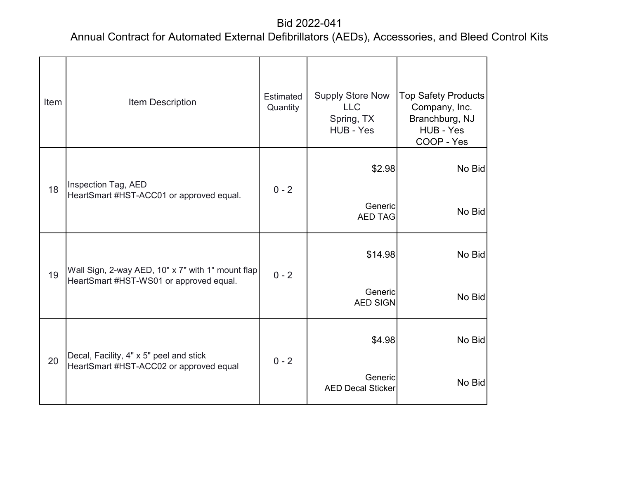| Item | Item Description                                                                             | Estimated<br>Quantity | <b>Supply Store Now</b><br><b>LLC</b><br>Spring, TX<br>HUB - Yes | <b>Top Safety Products</b><br>Company, Inc.<br>Branchburg, NJ<br>HUB - Yes<br>COOP - Yes |
|------|----------------------------------------------------------------------------------------------|-----------------------|------------------------------------------------------------------|------------------------------------------------------------------------------------------|
| 18   | Inspection Tag, AED<br>HeartSmart #HST-ACC01 or approved equal.                              | $0 - 2$               | \$2.98<br>Generic<br><b>AED TAG</b>                              | No Bid<br>No Bid                                                                         |
| 19   | Wall Sign, 2-way AED, 10" x 7" with 1" mount flap<br>HeartSmart #HST-WS01 or approved equal. | $0 - 2$               | \$14.98<br>Generic<br><b>AED SIGN</b>                            | No Bid<br>No Bid                                                                         |
| 20   | Decal, Facility, 4" x 5" peel and stick<br>HeartSmart #HST-ACC02 or approved equal           | $0 - 2$               | \$4.98<br>Generic<br><b>AED Decal Sticker</b>                    | No Bid<br>No Bid                                                                         |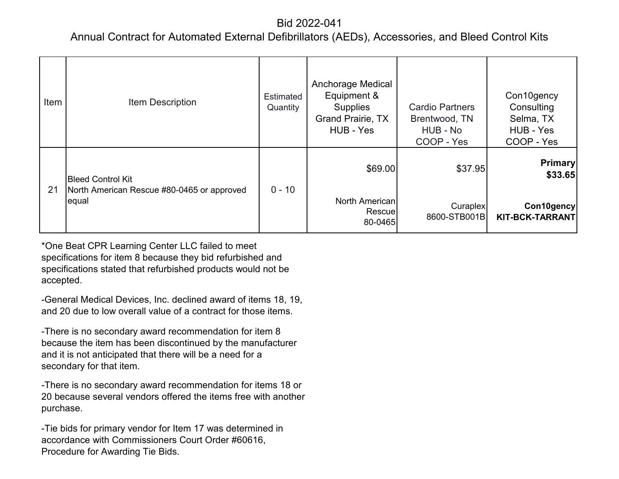### Annual Contract for Automated External Defibrillators (AEDs), Accessories, and Bleed Control Kits

| Item | <b>Item Description</b>                             | Estimated<br>Quantity | <b>Anchorage Medical</b><br>Equipment &<br><b>Supplies</b><br><b>Grand Prairie, TX</b><br>HUB - Yes | <b>Cardio Partners</b><br>Brentwood, TN<br>HUB - No<br>COOP - Yes | Con10gency<br>Consulting<br>Selma, TX<br>HUB - Yes<br>COOP - Yes |
|------|-----------------------------------------------------|-----------------------|-----------------------------------------------------------------------------------------------------|-------------------------------------------------------------------|------------------------------------------------------------------|
|      | <b>Bleed Control Kit</b>                            |                       | \$69.00                                                                                             | \$37.95                                                           | <b>Primary</b><br>\$33.65                                        |
| 21   | North American Rescue #80-0465 or approved<br>equal | $0 - 10$              | North American<br>Rescue<br>80-0465                                                                 | Curaplex<br>8600-STB001B                                          | Con10gency<br><b>KIT-BCK-TARRANT</b>                             |

\*One Beat CPR Learning Center LLC failed to meet specifications for item 8 because they bid refurbished and specifications stated that refurbished products would not be accepted.

-General Medical Devices, Inc. declined award of items 18, 19, and 20 due to low overall value of a contract for those items.

-There is no secondary award recommendation for item 8 because the item has been discontinued by the manufacturer and it is not anticipated that there will be a need for a secondary for that item.

-There is no secondary award recommendation for items 18 or 20 because several vendors offered the items free with another purchase.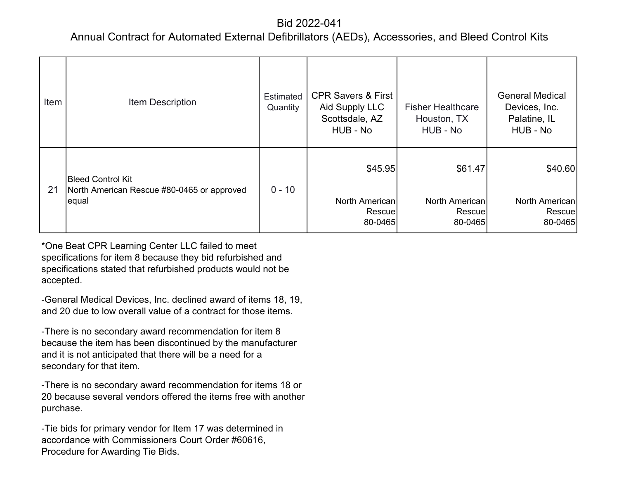### Annual Contract for Automated External Defibrillators (AEDs), Accessories, and Bleed Control Kits

| Item | <b>Item Description</b>                                                         | Estimated<br>Quantity | <b>CPR Savers &amp; First</b><br>Aid Supply LLC<br>Scottsdale, AZ<br>HUB - No | <b>Fisher Healthcare</b><br>Houston, TX<br>HUB - No | <b>General Medical</b><br>Devices, Inc.<br>Palatine, IL<br>HUB - No |
|------|---------------------------------------------------------------------------------|-----------------------|-------------------------------------------------------------------------------|-----------------------------------------------------|---------------------------------------------------------------------|
| 21   | <b>Bleed Control Kit</b><br>North American Rescue #80-0465 or approved<br>equal | $0 - 10$              | \$45.95<br>North American<br>Rescuel<br>80-0465                               | \$61.47<br>North American<br>Rescue<br>80-0465      | \$40.60<br>North American<br>Rescue<br>80-0465                      |

\*One Beat CPR Learning Center LLC failed to meet specifications for item 8 because they bid refurbished and specifications stated that refurbished products would not be accepted.

-General Medical Devices, Inc. declined award of items 18, 19, and 20 due to low overall value of a contract for those items.

-There is no secondary award recommendation for item 8 because the item has been discontinued by the manufacturer and it is not anticipated that there will be a need for a secondary for that item.

-There is no secondary award recommendation for items 18 or 20 because several vendors offered the items free with another purchase.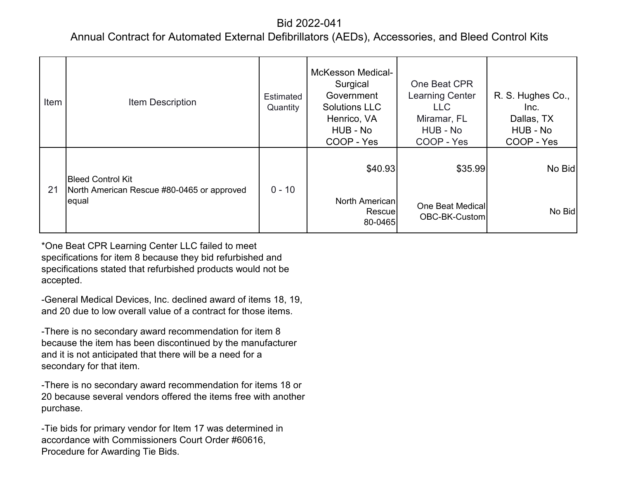### Annual Contract for Automated External Defibrillators (AEDs), Accessories, and Bleed Control Kits

| Item | <b>Item Description</b>                                                         | Estimated<br>Quantity | <b>McKesson Medical-</b><br>Surgical<br>Government<br><b>Solutions LLC</b><br>Henrico, VA<br>HUB - No<br>COOP - Yes | One Beat CPR<br><b>Learning Center</b><br><b>LLC</b><br>Miramar, FL<br>HUB - No<br>COOP - Yes | R. S. Hughes Co.,<br>Inc.<br>Dallas, TX<br>HUB - No<br>COOP - Yes |
|------|---------------------------------------------------------------------------------|-----------------------|---------------------------------------------------------------------------------------------------------------------|-----------------------------------------------------------------------------------------------|-------------------------------------------------------------------|
| 21   | <b>Bleed Control Kit</b><br>North American Rescue #80-0465 or approved<br>equal |                       | \$40.93                                                                                                             | \$35.99                                                                                       | No Bid                                                            |
|      |                                                                                 | $0 - 10$              | North American<br>Rescuel<br>80-0465                                                                                | One Beat Medical<br>OBC-BK-Custom                                                             | No Bid                                                            |

\*One Beat CPR Learning Center LLC failed to meet specifications for item 8 because they bid refurbished and specifications stated that refurbished products would not be accepted.

-General Medical Devices, Inc. declined award of items 18, 19, and 20 due to low overall value of a contract for those items.

-There is no secondary award recommendation for item 8 because the item has been discontinued by the manufacturer and it is not anticipated that there will be a need for a secondary for that item.

-There is no secondary award recommendation for items 18 or 20 because several vendors offered the items free with another purchase.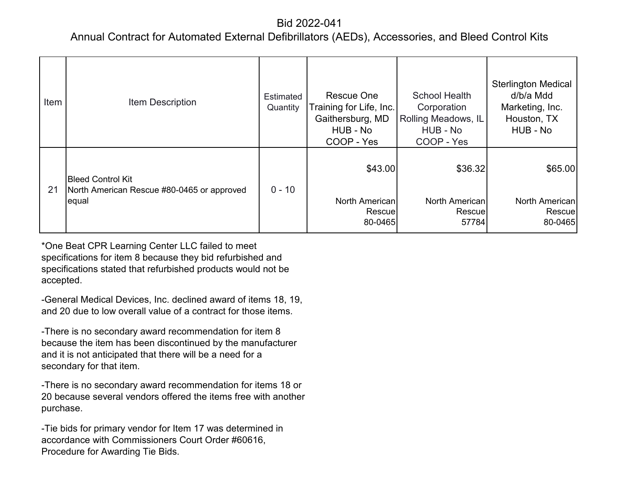### Annual Contract for Automated External Defibrillators (AEDs), Accessories, and Bleed Control Kits

| Item | <b>Item Description</b>                                                         | Estimated<br>Quantity | Rescue One<br>Training for Life, Inc.<br>Gaithersburg, MD<br>HUB - No<br>COOP - Yes | School Health<br>Corporation<br>Rolling Meadows, IL<br>HUB - No<br>COOP - Yes | <b>Sterlington Medical</b><br>d/b/a Mdd<br>Marketing, Inc.<br>Houston, TX<br>HUB - No |
|------|---------------------------------------------------------------------------------|-----------------------|-------------------------------------------------------------------------------------|-------------------------------------------------------------------------------|---------------------------------------------------------------------------------------|
| 21   | <b>Bleed Control Kit</b><br>North American Rescue #80-0465 or approved<br>equal | $0 - 10$              | \$43.00<br>North American<br>Rescuel<br>80-0465                                     | \$36.32<br>North American<br>Rescue<br>57784                                  | \$65.00<br>North American<br>Rescue<br>80-0465                                        |

\*One Beat CPR Learning Center LLC failed to meet specifications for item 8 because they bid refurbished and specifications stated that refurbished products would not be accepted.

-General Medical Devices, Inc. declined award of items 18, 19, and 20 due to low overall value of a contract for those items.

-There is no secondary award recommendation for item 8 because the item has been discontinued by the manufacturer and it is not anticipated that there will be a need for a secondary for that item.

-There is no secondary award recommendation for items 18 or 20 because several vendors offered the items free with another purchase.